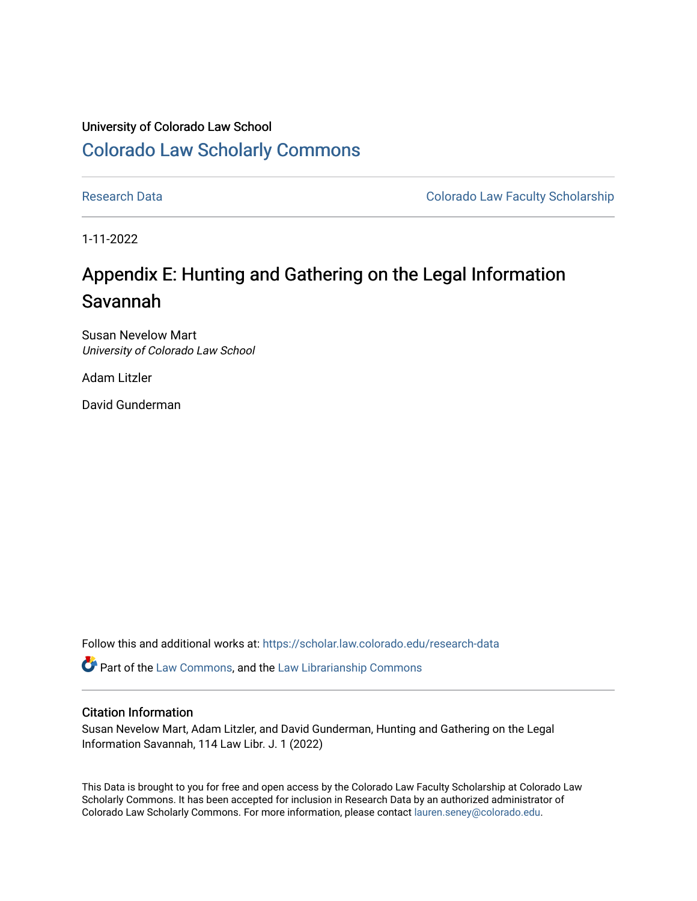## University of Colorado Law School [Colorado Law Scholarly Commons](https://scholar.law.colorado.edu/)

[Research Data](https://scholar.law.colorado.edu/research-data) **Colorado Law Faculty Scholarship** Colorado Law Faculty Scholarship

1-11-2022

## Appendix E: Hunting and Gathering on the Legal Information Savannah

Susan Nevelow Mart University of Colorado Law School

Adam Litzler

David Gunderman

Follow this and additional works at: [https://scholar.law.colorado.edu/research-data](https://scholar.law.colorado.edu/research-data?utm_source=scholar.law.colorado.edu%2Fresearch-data%2F13&utm_medium=PDF&utm_campaign=PDFCoverPages) 

Part of the [Law Commons](https://network.bepress.com/hgg/discipline/578?utm_source=scholar.law.colorado.edu%2Fresearch-data%2F13&utm_medium=PDF&utm_campaign=PDFCoverPages), and the [Law Librarianship Commons](https://network.bepress.com/hgg/discipline/1393?utm_source=scholar.law.colorado.edu%2Fresearch-data%2F13&utm_medium=PDF&utm_campaign=PDFCoverPages)

## Citation Information

Susan Nevelow Mart, Adam Litzler, and David Gunderman, Hunting and Gathering on the Legal Information Savannah, 114 Law Libr. J. 1 (2022)

This Data is brought to you for free and open access by the Colorado Law Faculty Scholarship at Colorado Law Scholarly Commons. It has been accepted for inclusion in Research Data by an authorized administrator of Colorado Law Scholarly Commons. For more information, please contact [lauren.seney@colorado.edu.](mailto:lauren.seney@colorado.edu)